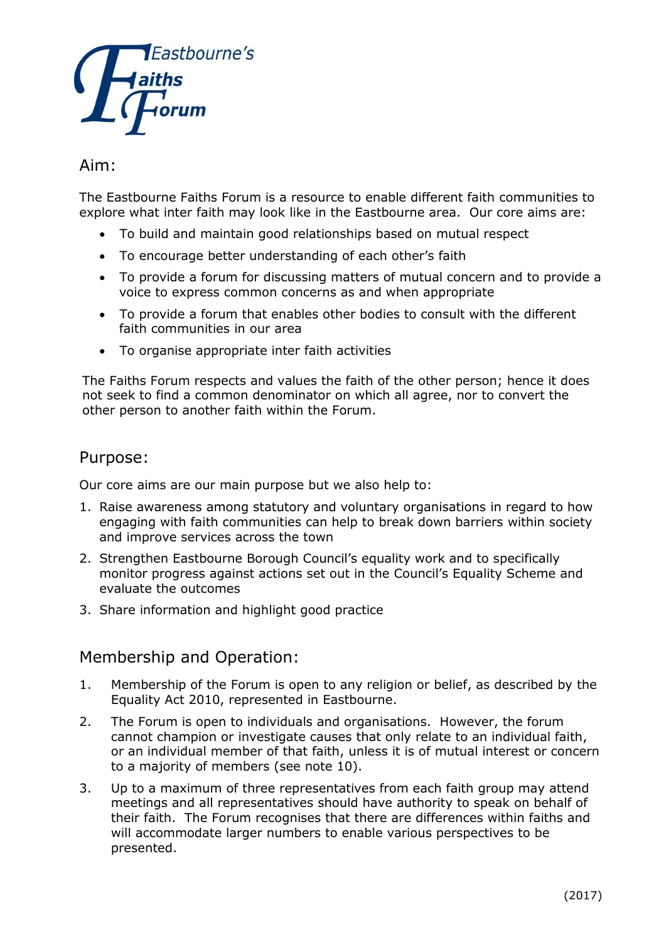

# Aim:

The Eastbourne Faiths Forum is a resource to enable different faith communities to explore what inter faith may look like in the Eastbourne area. Our core aims are:

- To build and maintain good relationships based on mutual respect
- To encourage better understanding of each other's faith
- To provide a forum for discussing matters of mutual concern and to provide a voice to express common concerns as and when appropriate
- To provide a forum that enables other bodies to consult with the different faith communities in our area
- To organise appropriate inter faith activities

The Faiths Forum respects and values the faith of the other person; hence it does not seek to find a common denominator on which all agree, nor to convert the other person to another faith within the Forum.

#### Purpose:

Our core aims are our main purpose but we also help to:

- 1. Raise awareness among statutory and voluntary organisations in regard to how engaging with faith communities can help to break down barriers within society and improve services across the town
- 2. Strengthen Eastbourne Borough Council's equality work and to specifically monitor progress against actions set out in the Council's Equality Scheme and evaluate the outcomes
- 3. Share information and highlight good practice

#### Membership and Operation:

- 1. Membership of the Forum is open to any religion or belief, as described by the Equality Act 2010, represented in Eastbourne.
- 2. The Forum is open to individuals and organisations. However, the forum cannot champion or investigate causes that only relate to an individual faith, or an individual member of that faith, unless it is of mutual interest or concern to a majority of members (see note 10).
- 3. Up to a maximum of three representatives from each faith group may attend meetings and all representatives should have authority to speak on behalf of their faith. The Forum recognises that there are differences within faiths and will accommodate larger numbers to enable various perspectives to be presented.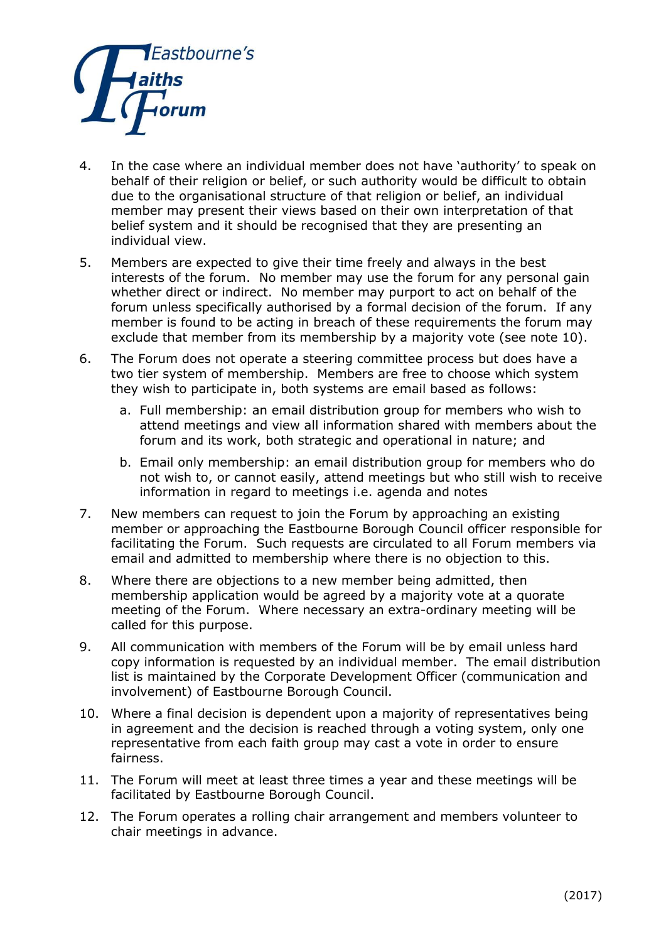

- 4. In the case where an individual member does not have 'authority' to speak on behalf of their religion or belief, or such authority would be difficult to obtain due to the organisational structure of that religion or belief, an individual member may present their views based on their own interpretation of that belief system and it should be recognised that they are presenting an individual view.
- 5. Members are expected to give their time freely and always in the best interests of the forum. No member may use the forum for any personal gain whether direct or indirect. No member may purport to act on behalf of the forum unless specifically authorised by a formal decision of the forum. If any member is found to be acting in breach of these requirements the forum may exclude that member from its membership by a majority vote (see note 10).
- 6. The Forum does not operate a steering committee process but does have a two tier system of membership. Members are free to choose which system they wish to participate in, both systems are email based as follows:
	- a. Full membership: an email distribution group for members who wish to attend meetings and view all information shared with members about the forum and its work, both strategic and operational in nature; and
	- b. Email only membership: an email distribution group for members who do not wish to, or cannot easily, attend meetings but who still wish to receive information in regard to meetings i.e. agenda and notes
- 7. New members can request to join the Forum by approaching an existing member or approaching the Eastbourne Borough Council officer responsible for facilitating the Forum. Such requests are circulated to all Forum members via email and admitted to membership where there is no objection to this.
- 8. Where there are objections to a new member being admitted, then membership application would be agreed by a majority vote at a quorate meeting of the Forum. Where necessary an extra-ordinary meeting will be called for this purpose.
- 9. All communication with members of the Forum will be by email unless hard copy information is requested by an individual member. The email distribution list is maintained by the Corporate Development Officer (communication and involvement) of Eastbourne Borough Council.
- 10. Where a final decision is dependent upon a majority of representatives being in agreement and the decision is reached through a voting system, only one representative from each faith group may cast a vote in order to ensure fairness.
- 11. The Forum will meet at least three times a year and these meetings will be facilitated by Eastbourne Borough Council.
- 12. The Forum operates a rolling chair arrangement and members volunteer to chair meetings in advance.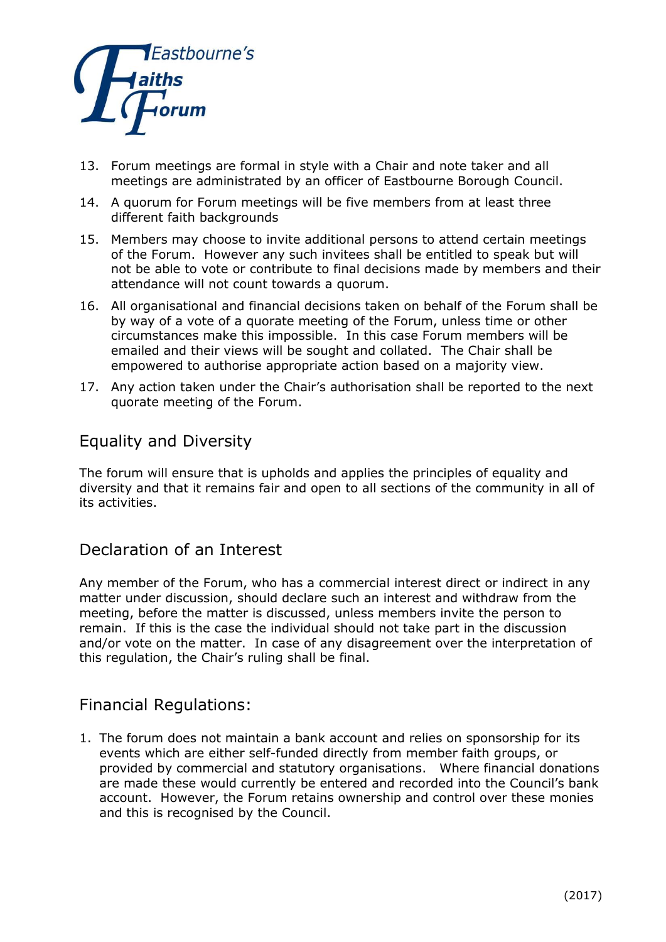

- 13. Forum meetings are formal in style with a Chair and note taker and all meetings are administrated by an officer of Eastbourne Borough Council.
- 14. A quorum for Forum meetings will be five members from at least three different faith backgrounds
- 15. Members may choose to invite additional persons to attend certain meetings of the Forum. However any such invitees shall be entitled to speak but will not be able to vote or contribute to final decisions made by members and their attendance will not count towards a quorum.
- 16. All organisational and financial decisions taken on behalf of the Forum shall be by way of a vote of a quorate meeting of the Forum, unless time or other circumstances make this impossible. In this case Forum members will be emailed and their views will be sought and collated. The Chair shall be empowered to authorise appropriate action based on a majority view.
- 17. Any action taken under the Chair's authorisation shall be reported to the next quorate meeting of the Forum.

## Equality and Diversity

The forum will ensure that is upholds and applies the principles of equality and diversity and that it remains fair and open to all sections of the community in all of its activities.

## Declaration of an Interest

Any member of the Forum, who has a commercial interest direct or indirect in any matter under discussion, should declare such an interest and withdraw from the meeting, before the matter is discussed, unless members invite the person to remain. If this is the case the individual should not take part in the discussion and/or vote on the matter. In case of any disagreement over the interpretation of this regulation, the Chair's ruling shall be final.

# Financial Regulations:

1. The forum does not maintain a bank account and relies on sponsorship for its events which are either self-funded directly from member faith groups, or provided by commercial and statutory organisations. Where financial donations are made these would currently be entered and recorded into the Council's bank account. However, the Forum retains ownership and control over these monies and this is recognised by the Council.